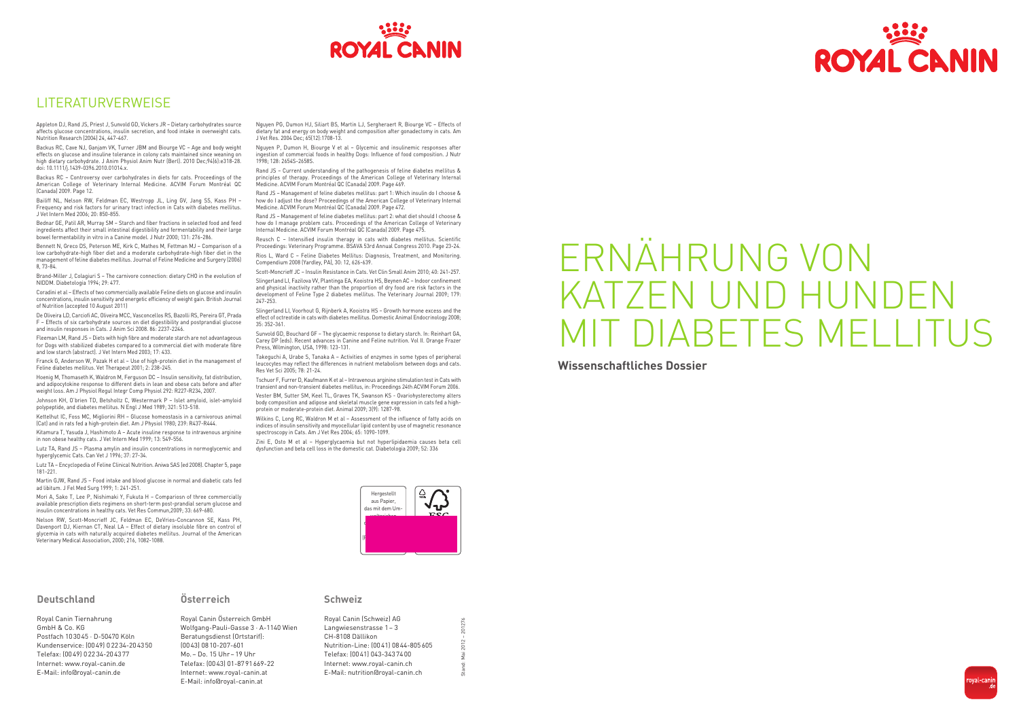Stand: Mai 2012 – 201276

**201** 

201276









Royal Canin Tiernahrung GmbH & Co. KG Postfach 103045 · D-50470 Köln Kundenservice: (0049) 02234-204350 Telefax: (0049) 02234-204377 Internet: www.royal-canin.de E-Mail: info@royal-canin.de

#### **Österreich**

Royal Canin Österreich GmbH Wolfgang-Pauli-Gasse 3 · A-1140 Wien Beratungsdienst (Ortstarif): (0043) 0810-207-601 Mo.– Do. 15 Uhr– 19 Uhr Telefax: (0043) 01-8791669-22 Internet: www.royal-canin.at E-Mail: info@royal-canin.at

#### **Schweiz**

| Royal Canin (Schweiz) AG           |
|------------------------------------|
| Langwiesenstrasse 1 - 3            |
| CH-8108 Dällikon                   |
| Nutrition-Line: (0041) 0844-805605 |
| Telefax: (00 41) 043-343 74 00     |
| Internet: www.royal-canin.ch       |
| E-Mail: nutrition@royal-canin.ch   |
|                                    |

**Wissenschaftliches Dossier**



## LITERATURVERWEISE

Appleton DJ, Rand JS, Priest J, Sunvold GD, Vickers JR – Dietary carbohydrates source affects glucose concentrations, insulin secretion, and food intake in overweight cats. Nutrition Research (2004) 24, 447-467.

Backus RC, Cave NJ, Ganjam VK, Turner JBM and Biourge VC – Age and body weight effects on glucose and insuline tolerance in colony cats maintained since weaning on high dietary carbohydrate. J Anim Physiol Anim Nutr (Berl). 2010 Dec;94(6):e318-28. doi: 10.1111/j.1439-0396.2010.01014.x.

Backus RC – Controversy over carbohydrates in diets for cats. Proceedings of the American College of Veterinary Internal Medicine. ACVIM Forum Montréal QC (Canada) 2009. Page 12.

Bailiff NL, Nelson RW, Feldman EC, Westropp JL, Ling GV, Jang SS, Kass PH – Frequency and risk factors for urinary tract infection in Cats with diabetes mellitus. J Vet Intern Med 2006; 20: 850-855.

Bednar GE, Patil AR, Murray SM – Starch and fiber fractions in selected food and feed ingredients affect their small intestinal digestibility and fermentability and their large bowel fermentability in vitro in a Canine model. J Nutr 2000; 131: 276-286.

Bennett N, Greco DS, Peterson ME, Kirk C, Mathes M, Fettman MJ – Comparison of a low carbohydrate-high fiber diet and a moderate carbohydrate-high fiber diet in the management of feline diabetes mellitus. Journal of Feline Medicine and Surgery (2006) 8, 73-84.

Brand-Miller J, Colagiuri S – The carnivore connection: dietary CHO in the evolution of NIDDM. Diabetologia 1994; 29: 477.

Coradini et al – Effects of two commercially available Feline diets on glucose and insulin concentrations, insulin sensitivity and energetic efficiency of weight gain. British Journal of Nutrition (accepted 10 August 2011)

De Oliveira LD, Carciofi AC, Oliveira MCC, Vasconcellos RS, Bazolli RS, Pereira GT, Prada F – Effects of six carbohydrate sources on diet digestibility and postprandial glucose and insulin responses in Cats. J Anim Sci 2008. 86: 2237-2246.

Fleeman LM, Rand JS – Diets with high fibre and moderate starch are not advantageous for Dogs with stabilized diabetes compared to a commercial diet with moderate fibre and low starch (abstract). J Vet Intern Med 2003; 17: 433.

Franck G, Anderson W, Pazak H et al – Use of high-protein diet in the management of Feline diabetes mellitus. Vet Therapeut 2001; 2: 238-245.

Hoenig M, Thomaseth K, Waldron M, Ferguson DC – Insulin sensitivity, fat distribution, and adipocytokine response to different diets in lean and obese cats before and after weight loss. Am J Physiol Regul Integr Comp Physiol 292: R227-R234, 2007.

Slingerland LL Voorhout G, Rijnberk A, Kooistra HS – Growth hormone excess and the effect of octreotide in cats with diabetes mellitus. Domestic Animal Endocrinology 2008; 35: 352-361.

Johnson KH, O'brien TD, Betsholtz C, Westermark P – Islet amyloid, islet-amyloid polypeptide, and diabetes mellitus. N Engl J Med 1989; 321: 513-518.

Kettelhut IC, Foss MC, Migliorini RH – Glucose homeostasis in a carnivorous animal (Cat) and in rats fed a high-protein diet. Am J Physiol 1980; 239: R437-R444.

Kitamura T, Yasuda J, Hashimoto A – Acute insuline response to intravenous arginine in non obese healthy cats. J Vet Intern Med 1999; 13: 549-556.

Wilkins C, Long RC, Waldron M et al – Assessment of the influence of fatty acids on indices of insulin sensitivity and myocellular lipid content by use of magnetic resonance spectroscopy in Cats. Am J Vet Res 2004; 65: 1090-1099.

Lutz TA, Rand JS – Plasma amylin and insulin concentrations in normoglycemic and hyperglycemic Cats. Can Vet J 1996; 37: 27-34.

Lutz TA – Encyclopedia of Feline Clinical Nutrition. Aniwa SAS (ed 2008). Chapter 5, page 181-221.

Martin GJW, Rand JS – Food intake and blood glucose in normal and diabetic cats fed ad libitum. J Fel Med Surg 1999; 1: 241-251.

Mori A, Sako T, Lee P, Nishimaki Y, Fukuta H – Compariosn of three commercially available prescription diets regimens on short-term post-prandial serum glucose and insulin concentrations in healthy cats. Vet Res Commun,2009; 33: 669-680.

Nelson RW, Scott-Moncrieff JC, Feldman EC, DeVries-Concannon SE, Kass PH, Davenport DJ, Kiernan CT, Neal LA – Effect of dietary insoluble fibre on control of glycemia in cats with naturally acquired diabetes mellitus. Journal of the American Veterinary Medical Association, 2000; 216, 1082-1088.

Nguyen PG, Dumon HJ, Siliart BS, Martin LJ, Sergheraert R, Biourge VC – Effects of dietary fat and energy on body weight and composition after gonadectomy in cats. Am J Vet Res. 2004 Dec; 65(12):1708-13.

Nguyen P, Dumon H, Biourge V et al – Glycemic and insulinemic responses after ingestion of commercial foods in healthy Dogs: Influence of food composition. J Nutr 1998; 128: 2654S-2658S.

Rand JS – Current understanding of the pathogenesis of feline diabetes mellitus & principles of therapy. Proceedings of the American College of Veterinary Internal Medicine. ACVIM Forum Montréal QC (Canada) 2009. Page 469.

Rand JS – Management of feline diabetes mellitus: part 1: Which insulin do I choose & how do I adjust the dose? Proceedings of the American College of Veterinary Internal Medicine. ACVIM Forum Montréal QC (Canada) 2009. Page 472.

Rand JS – Management of feline diabetes mellitus: part 2: what diet should I choose & how do I manage problem cats. Proceedings of the American College of Veterinary Internal Medicine. ACVIM Forum Montréal QC (Canada) 2009. Page 475.

Reusch C – Intensified insulin therapy in cats with diabetes mellitus. Scientific Proceedings: Veterinary Programme. BSAVA 53rd Annual Congress 2010. Page 23-24.

Rios L, Ward C – Feline Diabetes Mellitus: Diagnosis, Treatment, and Monitoring. Compendium 2008 (Yardley, PA), 30: 12, 626-639.

Scott-Moncrieff JC – Insulin Resistance in Cats. Vet Clin Small Anim 2010; 40: 241-257.

Slingerland LI, Fazilova VV, Plantinga EA, Kooistra HS, Beynen AC – Indoor confinement and physical inactivity rather than the proportion of dry food are risk factors in the development of Feline Type 2 diabetes mellitus. The Veterinary Journal 2009; 179: 247-253.

Sunvold GD, Bouchard GF – The glycaemic response to dietary starch. In: Reinhart GA, Carey DP (eds). Recent advances in Canine and Feline nutrition. Vol II. Orange Frazer Press, Wilmington, USA, 1998: 123-131.

Takeguchi A, Urabe S, Tanaka A – Activities of enzymes in some types of peripheral leucocytes may reflect the differences in nutrient metabolism between dogs and cats. Res Vet Sci 2005; 78: 21-24.

Tschuor F, Furrer D, Kaufmann K et al – Intravenous arginine stimulation test in Cats with transient and non-transient diabetes mellitus, in: Proceedings 24th ACVIM Forum 2006.

Vester BM, Sutter SM, Keel TL, Graves TK, Swanson KS - Ovariohysterectomy alters body composition and adipose and skeletal muscle gene expression in cats fed a highprotein or moderate-protein diet. Animal 2009; 3(9): 1287-98.

Zini E, Osto M et al – Hyperglycaemia but not hyperlipidaemia causes beta cell dysfunction and beta cell loss in the domestic cat. Diabetologia 2009; 52: 336

# ERNÄHRUNG VON KATZEN UND HUNDEN MIT DIABETES MELLIT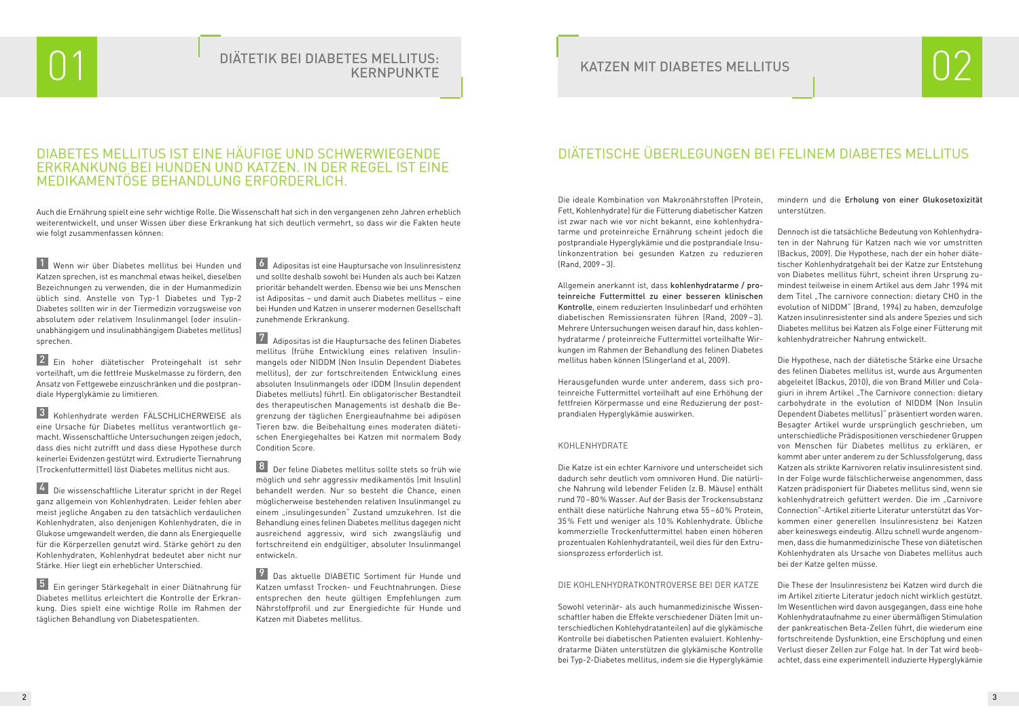## DIABETES MELLITUS IST EINE HÄUFIGE UND SCHWERWIEGENDE ERKRANKUNG BEI HUNDEN UND KATZEN. IN DER REGEL IST EINE MEDIKAMENTÖSE BEHANDLUNG ERFORDERLICH.

1 Wenn wir über Diabetes mellitus bei Hunden und Katzen sprechen, ist es manchmal etwas heikel, dieselben Bezeichnungen zu verwenden, die in der Humanmedizin üblich sind. Anstelle von Typ-1 Diabetes und Typ-2 Diabetes sollten wir in der Tiermedizin vorzugsweise von absolutem oder relativem Insulinmangel (oder insulinunabhängigem und insulinabhängigem Diabetes mellitus) sprechen.

2 Ein hoher diätetischer Proteingehalt ist sehr vorteilhaft, um die fettfreie Muskelmasse zu fördern, den Ansatz von Fettgewebe einzuschränken und die postprandiale Hyperglykämie zu limitieren.

3 Kohlenhydrate werden FÄLSCHLICHERWEISE als eine Ursache für Diabetes mellitus verantwortlich gemacht. Wissenschaftliche Untersuchungen zeigen jedoch, dass dies nicht zutrifft und dass diese Hypothese durch keinerlei Evidenzen gestützt wird. Extrudierte Tiernahrung (Trockenfuttermittel) löst Diabetes mellitus nicht aus.

4 Die wissenschaftliche Literatur spricht in der Regel ganz allgemein von Kohlenhydraten. Leider fehlen aber meist jegliche Angaben zu den tatsächlich verdaulichen Kohlenhydraten, also denjenigen Kohlenhydraten, die in Glukose umgewandelt werden, die dann als Energiequelle für die Körperzellen genutzt wird. Stärke gehört zu den Kohlenhydraten, Kohlenhydrat bedeutet aber nicht nur Stärke. Hier liegt ein erheblicher Unterschied.

5 Ein geringer Stärkegehalt in einer Diätnahrung für Diabetes mellitus erleichtert die Kontrolle der Erkrankung. Dies spielt eine wichtige Rolle im Rahmen der täglichen Behandlung von Diabetespatienten.

6 Adipositas ist eine Hauptursache von Insulinresistenz und sollte deshalb sowohl bei Hunden als auch bei Katzen prioritär behandelt werden. Ebenso wie bei uns Menschen ist Adipositas – und damit auch Diabetes mellitus – eine bei Hunden und Katzen in unserer modernen Gesellschaft zunehmende Erkrankung.

7 Adipositas ist die Hauptursache des felinen Diabetes mellitus (frühe Entwicklung eines relativen Insulinmangels oder NIDDM (Non Insulin Dependent Diabetes mellitus), der zur fortschreitenden Entwicklung eines absoluten Insulinmangels oder IDDM (Insulin dependent Diabetes melliuts) führt). Ein obligatorischer Bestandteil des therapeutischen Managements ist deshalb die Begrenzung der täglichen Energieaufnahme bei adipösen Tieren bzw. die Beibehaltung eines moderaten diätetischen Energiegehaltes bei Katzen mit normalem Body Condition Score.

8 Der feline Diabetes mellitus sollte stets so früh wie möglich und sehr aggressiv medikamentös (mit Insulin) behandelt werden. Nur so besteht die Chance, einen möglicherweise bestehenden relativen Insulinmangel zu einem "insulingesunden" Zustand umzukehren. Ist die Behandlung eines felinen Diabetes mellitus dagegen nicht ausreichend aggressiv, wird sich zwangsläufig und fortschreitend ein endgültiger, absoluter Insulinmangel entwickeln.

9 Das aktuelle DIABETIC Sortiment für Hunde und Katzen umfasst Trocken- und Feuchtnahrungen. Diese entsprechen den heute gültigen Empfehlungen zum Nährstoffprofil und zur Energiedichte für Hunde und Katzen mit Diabetes mellitus.

## 01 DIÄTETIK BEI DIABETES MELLITUS: **KERNPUNKTE**

## KATZEN MIT DIABETES MELLITUS

Auch die Ernährung spielt eine sehr wichtige Rolle. Die Wissenschaft hat sich in den vergangenen zehn Jahren erheblich weiterentwickelt, und unser Wissen über diese Erkrankung hat sich deutlich vermehrt, so dass wir die Fakten heute wie folgt zusammenfassen können:

## DIÄTETISCHE ÜBERLEGUNGEN BEI FELINEM DIABETES MELLITUS

kungen im Rahmen der Behandlung des felinen Diabetes mellitus haben können (Slingerland et al, 2009).

Herausgefunden wurde unter anderem, dass sich proteinreiche Futtermittel vorteilhaft auf eine Erhöhung der fettfreien Körpermasse und eine Reduzierung der postprandialen Hyperglykämie auswirken.

### KOHLENHYDRATE

Die Katze ist ein echter Karnivore und unterscheidet sich dadurch sehr deutlich vom omnivoren Hund. Die natürliche Nahrung wild lebender Feliden (z.B. Mäuse) enthält rund 70–80% Wasser. Auf der Basis der Trockensubstanz enthält diese natürliche Nahrung etwa 55–60% Protein, 35% Fett und weniger als 10% Kohlenhydrate. Übliche kommerzielle Trockenfuttermittel haben einen höheren prozentualen Kohlenhydratanteil, weil dies für den Extrusionsprozess erforderlich ist.

Die ideale Kombination von Makronährstoffen (Protein, Fett, Kohlenhydrate) für die Fütterung diabetischer Katzen ist zwar nach wie vor nicht bekannt, eine kohlenhydratarme und proteinreiche Ernährung scheint jedoch die postprandiale Hyperglykämie und die postprandiale Insulinkonzentration bei gesunden Katzen zu reduzieren (Rand, 2009–3). Allgemein anerkannt ist, dass kohlenhydratarme / proteinreiche Futtermittel zu einer besseren klinischen Kontrolle, einem reduzierten Insulinbedarf und erhöhten diabetischen Remissionsraten führen (Rand, 2009 – 3). Mehrere Untersuchungen weisen darauf hin, dass kohlenhydratarme / proteinreiche Futtermittel vorteilhafte Wirmindern und die Erholung von einer Glukosetoxizität unterstützen. Dennoch ist die tatsächliche Bedeutung von Kohlenhydraten in der Nahrung für Katzen nach wie vor umstritten (Backus, 2009). Die Hypothese, nach der ein hoher diätetischer Kohlenhydratgehalt bei der Katze zur Entstehung von Diabetes mellitus führt, scheint ihren Ursprung zumindest teilweise in einem Artikel aus dem Jahr 1994 mit dem Titel "The carnivore connection: dietary CHO in the evolution of NIDDM" (Brand, 1994) zu haben, demzufolge Katzen insulinresistenter sind als andere Spezies und sich Diabetes mellitus bei Katzen als Folge einer Fütterung mit kohlenhydratreicher Nahrung entwickelt.

#### DIE KOHLENHYDRATKONTROVERSE BEI DER KATZE

Sowohl veterinär- als auch humanmedizinische Wissenschaftler haben die Effekte verschiedener Diäten (mit unterschiedlichen Kohlehydratanteilen) auf die glykämische Kontrolle bei diabetischen Patienten evaluiert. Kohlenhydratarme Diäten unterstützen die glykämische Kontrolle bei Typ-2-Diabetes mellitus, indem sie die Hyperglykämie

Die Hypothese, nach der diätetische Stärke eine Ursache des felinen Diabetes mellitus ist, wurde aus Argumenten abgeleitet (Backus, 2010), die von Brand Miller und Colagiuri in ihrem Artikel "The Carnivore connection: dietary carbohydrate in the evolution of NIDDM (Non Insulin Dependent Diabetes mellitus)" präsentiert worden waren. Besagter Artikel wurde ursprünglich geschrieben, um unterschiedliche Prädispositionen verschiedener Gruppen von Menschen für Diabetes mellitus zu erklären, er kommt aber unter anderem zu der Schlussfolgerung, dass Katzen als strikte Karnivoren relativ insulinresistent sind. In der Folge wurde fälschlicherweise angenommen, dass Katzen prädisponiert für Diabetes mellitus sind, wenn sie kohlenhydratreich gefüttert werden. Die im "Carnivore Connection"-Artikel zitierte Literatur unterstützt das Vorkommen einer generellen Insulinresistenz bei Katzen aber keineswegs eindeutig. Allzu schnell wurde angenommen, dass die humanmedizinische These von diätetischen Kohlenhydraten als Ursache von Diabetes mellitus auch bei der Katze gelten müsse.

Die These der Insulinresistenz bei Katzen wird durch die im Artikel zitierte Literatur jedoch nicht wirklich gestützt. Im Wesentlichen wird davon ausgegangen, dass eine hohe Kohlenhydrataufnahme zu einer übermäßigen Stimulation der pankreatischen Beta-Zellen führt, die wiederum eine fortschreitende Dysfunktion, eine Erschöpfung und einen Verlust dieser Zellen zur Folge hat. In der Tat wird beobachtet, dass eine experimentell induzierte Hyperglykämie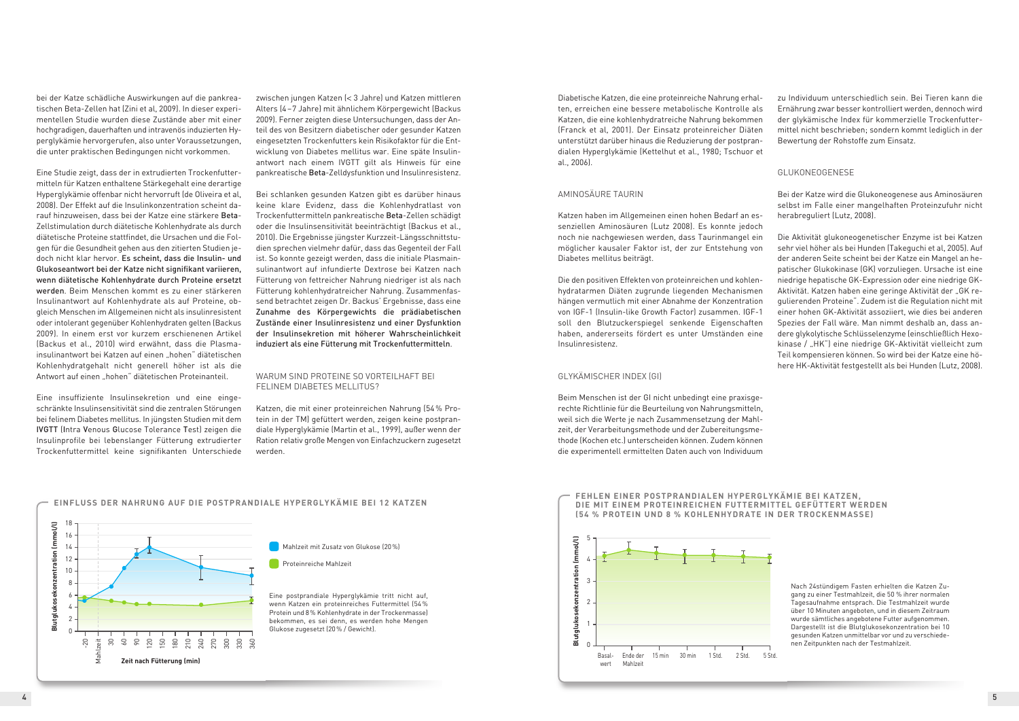#### **FEHLEN EINER POSTPRANDIALEN HYPERGLYKÄMIE BEI KATZEN, DIE MIT EINEM PROTEINREICHEN FUTTERMITTEL GEFÜTTERT WERDEN (54 % PROTEIN UND 8 % KOHLENHYDRATE IN DER TROCKENMASSE)**

Nach 24stündigem Fasten erhielten die Katzen Zugang zu einer Testmahlzeit, die 50 % ihrer normalen Tagesaufnahme entsprach. Die Testmahlzeit wurde über 10 Minuten angeboten, und in diesem Zeitraum wurde sämtliches angebotene Futter aufgenommen. Dargestellt ist die Blutglukosekonzentration bei 10 gesunden Katzen unmittelbar vor und zu verschiedenen Zeitpunkten nach der Testmahlzeit.



Eine Studie zeigt, dass der in extrudierten Trockenfuttermitteln für Katzen enthaltene Stärkegehalt eine derartige Hyperglykämie offenbar nicht hervorruft (de Oliveira et al, 2008). Der Effekt auf die Insulinkonzentration scheint darauf hinzuweisen, dass bei der Katze eine stärkere Beta-Zellstimulation durch diätetische Kohlenhydrate als durch diätetische Proteine stattfindet, die Ursachen und die Folgen für die Gesundheit gehen aus den zitierten Studien jedoch nicht klar hervor. Es scheint, dass die Insulin- und Glukoseantwort bei der Katze nicht signifikant variieren, wenn diätetische Kohlenhydrate durch Proteine ersetzt werden. Beim Menschen kommt es zu einer stärkeren Insulinantwort auf Kohlenhydrate als auf Proteine, obgleich Menschen im Allgemeinen nicht als insulinresistent oder intolerant gegenüber Kohlenhydraten gelten (Backus 2009). In einem erst vor kurzem erschienenen Artikel (Backus et al., 2010) wird erwähnt, dass die Plasmainsulinantwort bei Katzen auf einen "hohen" diätetischen Kohlenhydratgehalt nicht generell höher ist als die Antwort auf einen "hohen" diätetischen Proteinanteil.

bei der Katze schädliche Auswirkungen auf die pankreatischen Beta-Zellen hat (Zini et al, 2009). In dieser experimentellen Studie wurden diese Zustände aber mit einer hochgradigen, dauerhaften und intravenös induzierten Hyperglykämie hervorgerufen, also unter Voraussetzungen, die unter praktischen Bedingungen nicht vorkommen.

#### WARUM SIND PROTEINE SO VORTEILHAFT BEI FELINEM DIABETES MELLITUS?

Eine insuffiziente Insulinsekretion und eine eingeschränkte Insulinsensitivität sind die zentralen Störungen bei felinem Diabetes mellitus. In jüngsten Studien mit dem IVGTT (Intra Venous Glucose Tolerance Test) zeigen die Insulinprofile bei lebenslanger Fütterung extrudierter Trockenfuttermittel keine signifikanten Unterschiede zwischen jungen Katzen (< 3 Jahre) und Katzen mittleren Alters (4–7 Jahre) mit ähnlichem Körpergewicht (Backus 2009). Ferner zeigten diese Untersuchungen, dass der Anteil des von Besitzern diabetischer oder gesunder Katzen eingesetzten Trockenfutters kein Risikofaktor für die Entwicklung von Diabetes mellitus war. Eine späte Insulinantwort nach einem IVGTT gilt als Hinweis für eine pankreatische Beta-Zelldysfunktion und Insulinresistenz.

Bei schlanken gesunden Katzen gibt es darüber hinaus keine klare Evidenz, dass die Kohlenhydratlast von Trockenfuttermitteln pankreatische Beta-Zellen schädigt oder die Insulinsensitivität beeinträchtigt (Backus et al., 2010). Die Ergebnisse jüngster Kurzzeit-Längsschnittstudien sprechen vielmehr dafür, dass das Gegenteil der Fall ist. So konnte gezeigt werden, dass die initiale Plasmainsulinantwort auf infundierte Dextrose bei Katzen nach Fütterung von fettreicher Nahrung niedriger ist als nach Fütterung kohlenhydratreicher Nahrung. Zusammenfassend betrachtet zeigen Dr. Backus' Ergebnisse, dass eine Zunahme des Körpergewichts die prädiabetischen Zustände einer Insulinresistenz und einer Dysfunktion der Insulinsekretion mit höherer Wahrscheinlichkeit induziert als eine Fütterung mit Trockenfuttermitteln.

Katzen, die mit einer proteinreichen Nahrung (54% Protein in der TM) gefüttert werden, zeigen keine postprandiale Hyperglykämie (Martin et al., 1999), außer wenn der Ration relativ große Mengen von Einfachzuckern zugesetzt werden.

#### **EINFLUSS DER NAHRUNG AUF DIE POSTPRANDIALE HYPERGLYKÄMIE BEI 12 KATZEN**



Diabetische Katzen, die eine proteinreiche Nahrung erhalten, erreichen eine bessere metabolische Kontrolle als Katzen, die eine kohlenhydratreiche Nahrung bekommen (Franck et al, 2001). Der Einsatz proteinreicher Diäten unterstützt darüber hinaus die Reduzierung der postprandialen Hyperglykämie (Kettelhut et al., 1980; Tschuor et al., 2006).

#### AMINOSÄURE TAURIN

Katzen haben im Allgemeinen einen hohen Bedarf an essenziellen Aminosäuren (Lutz 2008). Es konnte jedoch noch nie nachgewiesen werden, dass Taurinmangel ein möglicher kausaler Faktor ist, der zur Entstehung von Diabetes mellitus beiträgt.

Die den positiven Effekten von proteinreichen und kohlenhydratarmen Diäten zugrunde liegenden Mechanismen hängen vermutlich mit einer Abnahme der Konzentration von IGF-1 (Insulin-like Growth Factor) zusammen. IGF-1 soll den Blutzuckerspiegel senkende Eigenschaften haben, andererseits fördert es unter Umständen eine Insulinresistenz.

#### GLYKÄMISCHER INDEX (GI)

Beim Menschen ist der GI nicht unbedingt eine praxisgerechte Richtlinie für die Beurteilung von Nahrungsmitteln, weil sich die Werte je nach Zusammensetzung der Mahlzeit, der Verarbeitungsmethode und der Zubereitungsmethode (Kochen etc.) unterscheiden können. Zudem können die experimentell ermittelten Daten auch von Individuum

zu Individuum unterschiedlich sein. Bei Tieren kann die Ernährung zwar besser kontrolliert werden, dennoch wird der glykämische Index für kommerzielle Trockenfuttermittel nicht beschrieben; sondern kommt lediglich in der Bewertung der Rohstoffe zum Einsatz.

#### GLUKONEOGENESE

Bei der Katze wird die Glukoneogenese aus Aminosäuren selbst im Falle einer mangelhaften Proteinzufuhr nicht herabreguliert (Lutz, 2008).

Die Aktivität glukoneogenetischer Enzyme ist bei Katzen sehr viel höher als bei Hunden (Takeguchi et al, 2005). Auf der anderen Seite scheint bei der Katze ein Mangel an hepatischer Glukokinase (GK) vorzuliegen. Ursache ist eine niedrige hepatische GK-Expression oder eine niedrige GK-Aktivität. Katzen haben eine geringe Aktivität der "GK regulierenden Proteine". Zudem ist die Regulation nicht mit einer hohen GK-Aktivität assoziiert, wie dies bei anderen Spezies der Fall wäre. Man nimmt deshalb an, dass andere glykolytische Schlüsselenzyme (einschließlich Hexokinase / "HK") eine niedrige GK-Aktivität vielleicht zum Teil kompensieren können. So wird bei der Katze eine höhere HK-Aktivität festgestellt als bei Hunden (Lutz, 2008).

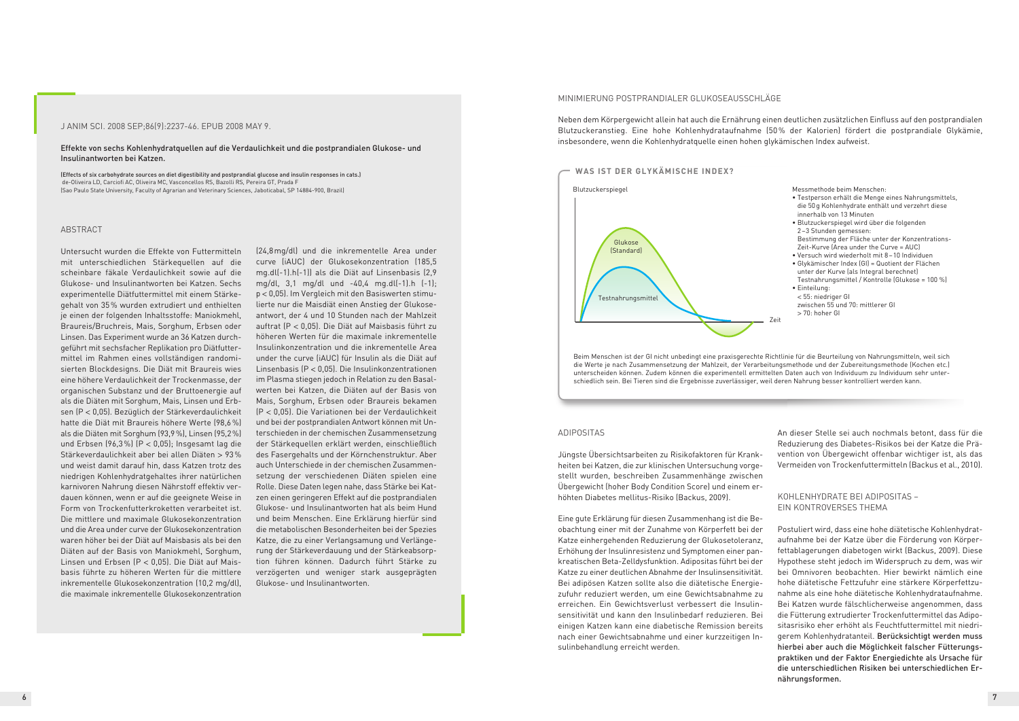#### ABSTRACT

Untersucht wurden die Effekte von Futtermitteln mit unterschiedlichen Stärkequellen auf die scheinbare fäkale Verdaulichkeit sowie auf die Glukose- und Insulinantworten bei Katzen. Sechs experimentelle Diätfuttermittel mit einem Stärkegehalt von 35% wurden extrudiert und enthielten je einen der folgenden Inhaltsstoffe: Maniokmehl, Braureis/Bruchreis, Mais, Sorghum, Erbsen oder Linsen. Das Experiment wurde an 36 Katzen durchgeführt mit sechsfacher Replikation pro Diätfuttermittel im Rahmen eines vollständigen randomisierten Blockdesigns. Die Diät mit Braureis wies eine höhere Verdaulichkeit der Trockenmasse, der organischen Substanz und der Bruttoenergie auf als die Diäten mit Sorghum, Mais, Linsen und Erbsen (P < 0,05). Bezüglich der Stärkeverdaulichkeit hatte die Diät mit Braureis höhere Werte (98,6%) als die Diäten mit Sorghum (93,9%), Linsen (95,2%) und Erbsen (96,3%) (P < 0,05); Insgesamt lag die Stärkeverdaulichkeit aber bei allen Diäten > 93% und weist damit darauf hin, dass Katzen trotz des niedrigen Kohlenhydratgehaltes ihrer natürlichen karnivoren Nahrung diesen Nährstoff effektiv verdauen können, wenn er auf die geeignete Weise in Form von Trockenfutterkroketten verarbeitet ist. Die mittlere und maximale Glukosekonzentration und die Area under curve der Glukosekonzentration waren höher bei der Diät auf Maisbasis als bei den Diäten auf der Basis von Maniokmehl, Sorghum, Linsen und Erbsen (P < 0,05). Die Diät auf Maisbasis führte zu höheren Werten für die mittlere inkrementelle Glukosekonzentration (10,2 mg/dl), die maximale inkrementelle Glukosekonzentration

(24,8mg/dl) und die inkrementelle Area under curve (iAUC) der Glukosekonzentration (185,5 mg.dl(-1).h(-1)) als die Diät auf Linsenbasis (2,9 mg/dl, 3,1 mg/dl und -40,4 mg.dl(-1).h (-1); p < 0,05). Im Vergleich mit den Basiswerten stimulierte nur die Maisdiät einen Anstieg der Glukoseantwort, der 4 und 10 Stunden nach der Mahlzeit auftrat (P < 0,05). Die Diät auf Maisbasis führt zu höheren Werten für die maximale inkrementelle Insulinkonzentration und die inkrementelle Area under the curve (iAUC) für Insulin als die Diät auf Linsenbasis (P < 0,05). Die Insulinkonzentrationen im Plasma stiegen jedoch in Relation zu den Basalwerten bei Katzen, die Diäten auf der Basis von Mais, Sorghum, Erbsen oder Braureis bekamen (P < 0,05). Die Variationen bei der Verdaulichkeit und bei der postprandialen Antwort können mit Unterschieden in der chemischen Zusammensetzung der Stärkequellen erklärt werden, einschließlich des Fasergehalts und der Körnchenstruktur. Aber auch Unterschiede in der chemischen Zusammensetzung der verschiedenen Diäten spielen eine Rolle. Diese Daten legen nahe, dass Stärke bei Katzen einen geringeren Effekt auf die postprandialen Glukose- und Insulinantworten hat als beim Hund und beim Menschen. Eine Erklärung hierfür sind die metabolischen Besonderheiten bei der Spezies Katze, die zu einer Verlangsamung und Verlängerung der Stärkeverdauung und der Stärkeabsorption führen können. Dadurch führt Stärke zu verzögerten und weniger stark ausgeprägten Glukose- und Insulinantworten.

#### J ANIM SCI. 2008 SEP;86(9):2237-46. EPUB 2008 MAY 9.

Effekte von sechs Kohlenhydratquellen auf die Verdaulichkeit und die postprandialen Glukose- und Insulinantworten bei Katzen.

(Effects of six carbohydrate sources on diet digestibility and postprandial glucose and insulin responses in cats.) de-Oliveira LD, Carciofi AC, Oliveira MC, Vasconcellos RS, Bazolli RS, Pereira GT, Prada F (Sao Paulo State University, Faculty of Agrarian and Veterinary Sciences, Jaboticabal, SP 14884-900, Brazil)

#### MINIMIERUNG POSTPRANDIALER GLUKOSEAUSSCHLÄGE

Neben dem Körpergewicht allein hat auch die Ernährung einen deutlichen zusätzlichen Einfluss auf den postprandialen Blutzuckeranstieg. Eine hohe Kohlenhydrataufnahme (50% der Kalorien) fördert die postprandiale Glykämie, insbesondere, wenn die Kohlenhydratquelle einen hohen glykämischen Index aufweist.

Messmethode beim Menschen:



- Testperson erhält die Menge eines Nahrungsmittels, die 50g Kohlenhydrate enthält und verzehrt diese innerhalb von 13 Minuten
- Blutzuckerspiegel wird über die folgenden 2 –3 Stunden gemessen: Bestimmung der Fläche unter der Konzentrations-Zeit-Kurve (Area under the Curve = AUC)
- Versuch wird wiederholt mit 8–10 Individuen • Glykämischer Index (GI) = Quotient der Flächen unter der Kurve (als Integral berechnet) Testnahrungsmittel / Kontrolle (Glukose = 100 %)
- Einteilung: < 55: niedriger GI zwischen 55 und 70: mittlerer GI > 70: hoher GI

Zeit

Beim Menschen ist der GI nicht unbedingt eine praxisgerechte Richtlinie für die Beurteilung von Nahrungsmitteln, weil sich die Werte je nach Zusammensetzung der Mahlzeit, der Verarbeitungsmethode und der Zubereitungsmethode (Kochen etc.) unterscheiden können. Zudem können die experimentell ermittelten Daten auch von Individuum zu Individuum sehr unterschiedlich sein. Bei Tieren sind die Ergebnisse zuverlässiger, weil deren Nahrung besser kontrolliert werden kann.

#### ADIPOSITAS

Jüngste Übersichtsarbeiten zu Risikofaktoren für Krankheiten bei Katzen, die zur klinischen Untersuchung vorgestellt wurden, beschreiben Zusammenhänge zwischen Übergewicht (hoher Body Condition Score) und einem erhöhten Diabetes mellitus-Risiko (Backus, 2009).

Eine gute Erklärung für diesen Zusammenhang ist die Beobachtung einer mit der Zunahme von Körperfett bei der Katze einhergehenden Reduzierung der Glukosetoleranz, Erhöhung der Insulinresistenz und Symptomen einer pankreatischen Beta-Zelldysfunktion. Adipositas führt bei der Katze zu einer deutlichen Abnahme der Insulinsensitivität. Bei adipösen Katzen sollte also die diätetische Energiezufuhr reduziert werden, um eine Gewichtsabnahme zu erreichen. Ein Gewichtsverlust verbessert die Insulinsensitivität und kann den Insulinbedarf reduzieren. Bei einigen Katzen kann eine diabetische Remission bereits nach einer Gewichtsabnahme und einer kurzzeitigen Insulinbehandlung erreicht werden.

An dieser Stelle sei auch nochmals betont, dass für die Reduzierung des Diabetes-Risikos bei der Katze die Prävention von Übergewicht offenbar wichtiger ist, als das Vermeiden von Trockenfuttermitteln (Backus et al., 2010).

KOHLENHYDRATE BEI ADIPOSITAS – EIN KONTROVERSES THEMA

Postuliert wird, dass eine hohe diätetische Kohlenhydrataufnahme bei der Katze über die Förderung von Körperfettablagerungen diabetogen wirkt (Backus, 2009). Diese Hypothese steht jedoch im Widerspruch zu dem, was wir bei Omnivoren beobachten. Hier bewirkt nämlich eine hohe diätetische Fettzufuhr eine stärkere Körperfettzunahme als eine hohe diätetische Kohlenhydrataufnahme. Bei Katzen wurde fälschlicherweise angenommen, dass die Fütterung extrudierter Trockenfuttermittel das Adipositasrisiko eher erhöht als Feuchtfuttermittel mit niedrigerem Kohlenhydratanteil. Berücksichtigt werden muss hierbei aber auch die Möglichkeit falscher Fütterungspraktiken und der Faktor Energiedichte als Ursache für die unterschiedlichen Risiken bei unterschiedlichen Ernährungsformen.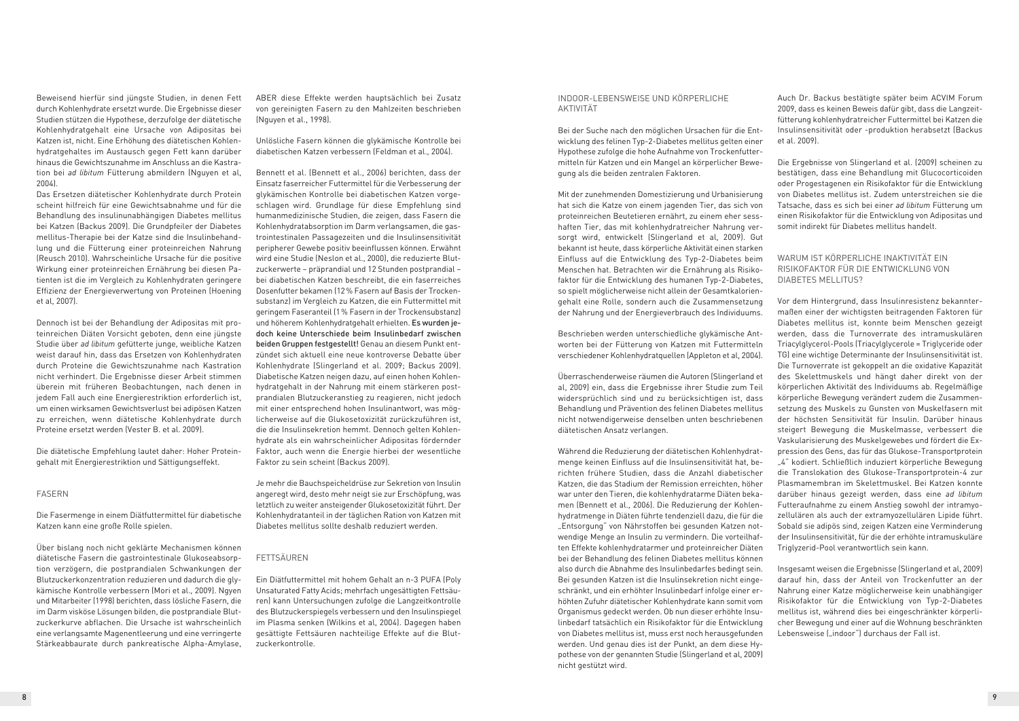Beweisend hierfür sind jüngste Studien, in denen Fett durch Kohlenhydrate ersetzt wurde. Die Ergebnisse dieser Studien stützen die Hypothese, derzufolge der diätetische Kohlenhydratgehalt eine Ursache von Adipositas bei Katzen ist, nicht. Eine Erhöhung des diätetischen Kohlenhydratgehaltes im Austausch gegen Fett kann darüber hinaus die Gewichtszunahme im Anschluss an die Kastration bei *ad libitum* Fütterung abmildern (Nguyen et al, 2004).

Das Ersetzen diätetischer Kohlenhydrate durch Protein scheint hilfreich für eine Gewichtsabnahme und für die Behandlung des insulinunabhängigen Diabetes mellitus bei Katzen (Backus 2009). Die Grundpfeiler der Diabetes mellitus-Therapie bei der Katze sind die Insulinbehandlung und die Fütterung einer proteinreichen Nahrung (Reusch 2010). Wahrscheinliche Ursache für die positive Wirkung einer proteinreichen Ernährung bei diesen Patienten ist die im Vergleich zu Kohlenhydraten geringere Effizienz der Energieverwertung von Proteinen (Hoening et al, 2007).

Dennoch ist bei der Behandlung der Adipositas mit proteinreichen Diäten Vorsicht geboten, denn eine jüngste Studie über *ad libitum* gefütterte junge, weibliche Katzen weist darauf hin, dass das Ersetzen von Kohlenhydraten durch Proteine die Gewichtszunahme nach Kastration nicht verhindert. Die Ergebnisse dieser Arbeit stimmen überein mit früheren Beobachtungen, nach denen in jedem Fall auch eine Energierestriktion erforderlich ist, um einen wirksamen Gewichtsverlust bei adipösen Katzen zu erreichen, wenn diätetische Kohlenhydrate durch Proteine ersetzt werden (Vester B. et al. 2009).

Die diätetische Empfehlung lautet daher: Hoher Proteingehalt mit Energierestriktion und Sättigungseffekt.

#### FASERN

Die Fasermenge in einem Diätfuttermittel für diabetische Katzen kann eine große Rolle spielen.

Über bislang noch nicht geklärte Mechanismen können diätetische Fasern die gastrointestinale Glukoseabsorption verzögern, die postprandialen Schwankungen der Blutzuckerkonzentration reduzieren und dadurch die glykämische Kontrolle verbessern (Mori et al., 2009). Ngyen und Mitarbeiter (1998) berichten, dass lösliche Fasern, die im Darm visköse Lösungen bilden, die postprandiale Blutzuckerkurve abflachen. Die Ursache ist wahrscheinlich eine verlangsamte Magenentleerung und eine verringerte Stärkeabbaurate durch pankreatische Alpha-Amylase,

ABER diese Effekte werden hauptsächlich bei Zusatz von gereinigten Fasern zu den Mahlzeiten beschrieben (Nguyen et al., 1998).

Unlösliche Fasern können die glykämische Kontrolle bei diabetischen Katzen verbessern (Feldman et al., 2004).

Bennett et al. (Bennett et al., 2006) berichten, dass der Einsatz faserreicher Futtermittel für die Verbesserung der glykämischen Kontrolle bei diabetischen Katzen vorgeschlagen wird. Grundlage für diese Empfehlung sind humanmedizinische Studien, die zeigen, dass Fasern die Kohlenhydratabsorption im Darm verlangsamen, die gastrointestinalen Passagezeiten und die Insulinsensitivität peripherer Gewebe positiv beeinflussen können. Erwähnt wird eine Studie (Neslon et al., 2000), die reduzierte Blutzuckerwerte – präprandial und 12 Stunden postprandial – bei diabetischen Katzen beschreibt, die ein faserreiches Dosenfutter bekamen (12% Fasern auf Basis der Trockensubstanz) im Vergleich zu Katzen, die ein Futtermittel mit geringem Faseranteil (1% Fasern in der Trockensubstanz) und höherem Kohlenhydratgehalt erhielten. Es wurden jedoch keine Unterschiede beim Insulinbedarf zwischen beiden Gruppen festgestellt! Genau an diesem Punkt entzündet sich aktuell eine neue kontroverse Debatte über Kohlenhydrate (Slingerland et al. 2009; Backus 2009). Diabetische Katzen neigen dazu, auf einen hohen Kohlenhydratgehalt in der Nahrung mit einem stärkeren postprandialen Blutzuckeranstieg zu reagieren, nicht jedoch mit einer entsprechend hohen Insulinantwort, was möglicherweise auf die Glukosetoxizität zurückzuführen ist, die die Insulinsekretion hemmt. Dennoch gelten Kohlenhydrate als ein wahrscheinlicher Adipositas fördernder Faktor, auch wenn die Energie hierbei der wesentliche Faktor zu sein scheint (Backus 2009).

Je mehr die Bauchspeicheldrüse zur Sekretion von Insulin angeregt wird, desto mehr neigt sie zur Erschöpfung, was letztlich zu weiter ansteigender Glukosetoxizität führt. Der Kohlenhydratanteil in der täglichen Ration von Katzen mit Diabetes mellitus sollte deshalb reduziert werden.

#### FETTSÄUREN

Ein Diätfuttermittel mit hohem Gehalt an n-3 PUFA (Poly Unsaturated Fatty Acids; mehrfach ungesättigten Fettsäuren) kann Untersuchungen zufolge die Langzeitkontrolle des Blutzuckerspiegels verbessern und den Insulinspiegel im Plasma senken (Wilkins et al, 2004). Dagegen haben gesättigte Fettsäuren nachteilige Effekte auf die Blutzuckerkontrolle.

Insgesamt weisen die Ergebnisse (Slingerland et al, 2009) darauf hin, dass der Anteil von Trockenfutter an der Nahrung einer Katze möglicherweise kein unabhängiger Risikofaktor für die Entwicklung von Typ-2-Diabetes mellitus ist, während dies bei eingeschränkter körperlicher Bewegung und einer auf die Wohnung beschränkten Lebensweise ("indoor") durchaus der Fall ist.

#### INDOOR-LEBENSWEISE UND KÖRPERLICHE AKTIVITÄT

Bei der Suche nach den möglichen Ursachen für die Entwicklung des felinen Typ-2-Diabetes mellitus gelten einer Hypothese zufolge die hohe Aufnahme von Trockenfuttermitteln für Katzen und ein Mangel an körperlicher Bewegung als die beiden zentralen Faktoren.

Mit der zunehmenden Domestizierung und Urbanisierung hat sich die Katze von einem jagenden Tier, das sich von proteinreichen Beutetieren ernährt, zu einem eher sesshaften Tier, das mit kohlenhydratreicher Nahrung versorgt wird, entwickelt (Slingerland et al, 2009). Gut bekannt ist heute, dass körperliche Aktivität einen starken Einfluss auf die Entwicklung des Typ-2-Diabetes beim Menschen hat. Betrachten wir die Ernährung als Risikofaktor für die Entwicklung des humanen Typ-2-Diabetes, so spielt möglicherweise nicht allein der Gesamtkaloriengehalt eine Rolle, sondern auch die Zusammensetzung der Nahrung und der Energieverbrauch des Individuums.

Beschrieben werden unterschiedliche glykämische Antworten bei der Fütterung von Katzen mit Futtermitteln verschiedener Kohlenhydratquellen (Appleton et al, 2004).

Überraschenderweise räumen die Autoren (Slingerland et al, 2009) ein, dass die Ergebnisse ihrer Studie zum Teil widersprüchlich sind und zu berücksichtigen ist, dass Behandlung und Prävention des felinen Diabetes mellitus nicht notwendigerweise denselben unten beschriebenen diätetischen Ansatz verlangen.

Während die Reduzierung der diätetischen Kohlenhydratmenge keinen Einfluss auf die Insulinsensitivität hat, berichten frühere Studien, dass die Anzahl diabetischer Katzen, die das Stadium der Remission erreichten, höher war unter den Tieren, die kohlenhydratarme Diäten bekamen (Bennett et al., 2006). Die Reduzierung der Kohlenhydratmenge in Diäten führte tendenziell dazu, die für die "Entsorgung" von Nährstoffen bei gesunden Katzen notwendige Menge an Insulin zu vermindern. Die vorteilhaften Effekte kohlenhydratarmer und proteinreicher Diäten bei der Behandlung des felinen Diabetes mellitus können also durch die Abnahme des Insulinbedarfes bedingt sein. Bei gesunden Katzen ist die Insulinsekretion nicht eingeschränkt, und ein erhöhter Insulinbedarf infolge einer erhöhten Zufuhr diätetischer Kohlenhydrate kann somit vom Organismus gedeckt werden. Ob nun dieser erhöhte Insulinbedarf tatsächlich ein Risikofaktor für die Entwicklung von Diabetes mellitus ist, muss erst noch herausgefunden werden. Und genau dies ist der Punkt, an dem diese Hypothese von der genannten Studie (Slingerland et al, 2009) nicht gestützt wird.

Auch Dr. Backus bestätigte später beim ACVIM Forum 2009, dass es keinen Beweis dafür gibt, dass die Langzeitfütterung kohlenhydratreicher Futtermittel bei Katzen die Insulinsensitivität oder -produktion herabsetzt (Backus et al. 2009).

Die Ergebnisse von Slingerland et al. (2009) scheinen zu bestätigen, dass eine Behandlung mit Glucocorticoiden oder Progestagenen ein Risikofaktor für die Entwicklung von Diabetes mellitus ist. Zudem unterstreichen sie die Tatsache, dass es sich bei einer *ad libitum* Fütterung um einen Risikofaktor für die Entwicklung von Adipositas und somit indirekt für Diabetes mellitus handelt.

### WARUM IST KÖRPERLICHE INAKTIVITÄT EIN RISIKOFAKTOR FÜR DIE ENTWICKLUNG VON DIABETES MELLITUS?

Vor dem Hintergrund, dass Insulinresistenz bekanntermaßen einer der wichtigsten beitragenden Faktoren für Diabetes mellitus ist, konnte beim Menschen gezeigt werden, dass die Turnoverrate des intramuskulären Triacylglycerol-Pools (Triacylglycerole = Triglyceride oder TG) eine wichtige Determinante der Insulinsensitivität ist. Die Turnoverrate ist gekoppelt an die oxidative Kapazität des Skelettmuskels und hängt daher direkt von der körperlichen Aktivität des Individuums ab. Regelmäßige körperliche Bewegung verändert zudem die Zusammensetzung des Muskels zu Gunsten von Muskelfasern mit der höchsten Sensitivität für Insulin. Darüber hinaus steigert Bewegung die Muskelmasse, verbessert die Vaskularisierung des Muskelgewebes und fördert die Expression des Gens, das für das Glukose-Transportprotein "4" kodiert. Schließlich induziert körperliche Bewegung die Translokation des Glukose-Transportprotein-4 zur Plasmamembran im Skelettmuskel. Bei Katzen konnte darüber hinaus gezeigt werden, dass eine *ad libitum* Futteraufnahme zu einem Anstieg sowohl der intramyozellulären als auch der extramyozellulären Lipide führt. Sobald sie adipös sind, zeigen Katzen eine Verminderung der Insulinsensitivität, für die der erhöhte intramuskuläre Triglyzerid-Pool verantwortlich sein kann.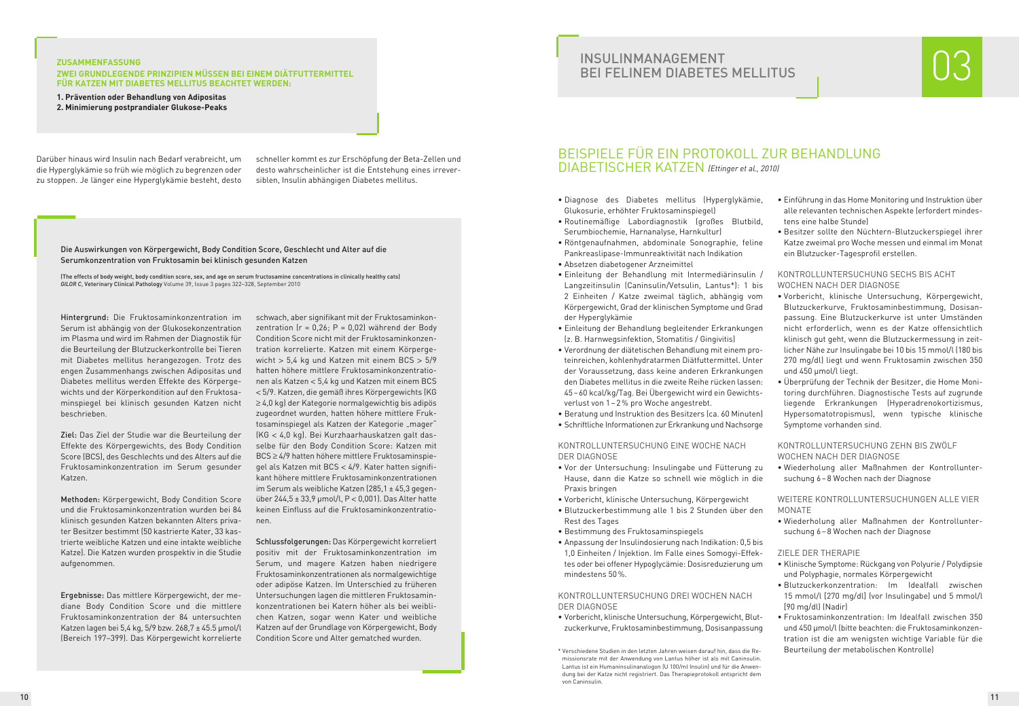#### **ZUSAMMENFASSUNG**

#### **ZWEI GRUNDLEGENDE PRINZIPIEN MÜSSEN BEI EINEM DIÄTFUTTERMITTEL FÜR KATZEN MIT DIABETES MELLITUS BEACHTET WERDEN:**

**1. Prävention oder Behandlung von Adipositas 2. Minimierung postprandialer Glukose-Peaks**

Darüber hinaus wird Insulin nach Bedarf verabreicht, um die Hyperglykämie so früh wie möglich zu begrenzen oder zu stoppen. Je länger eine Hyperglykämie besteht, desto

schneller kommt es zur Erschöpfung der Beta-Zellen und desto wahrscheinlicher ist die Entstehung eines irreversiblen, Insulin abhängigen Diabetes mellitus.

## BEISPIELE FÜR EIN PROTOKOLL ZUR BEHANDLUNG DIABETISCHER KATZEN *(Ettinger et al., 2010)*

- Diagnose des Diabetes mellitus (Hyperglykämie, Glukosurie, erhöhter Fruktosaminspiegel)
- Routinemäßige Labordiagnostik (großes Blutbild, Serumbiochemie, Harnanalyse, Harnkultur)
- Röntgenaufnahmen, abdominale Sonographie, feline Pankreaslipase-Immunreaktivität nach Indikation
- Absetzen diabetogener Arzneimittel
- Einleitung der Behandlung mit Intermediärinsulin / Langzeitinsulin (Caninsulin/Vetsulin, Lantus\*): 1 bis 2 Einheiten / Katze zweimal täglich, abhängig vom Körpergewicht, Grad der klinischen Symptome und Grad der Hyperglykämie
- Einleitung der Behandlung begleitender Erkrankungen (z. B. Harnwegsinfektion, Stomatitis / Gingivitis)
- Verordnung der diätetischen Behandlung mit einem proteinreichen, kohlenhydratarmen Diätfuttermittel. Unter der Voraussetzung, dass keine anderen Erkrankungen den Diabetes mellitus in die zweite Reihe rücken lassen: 45–60 kcal/kg/Tag. Bei Übergewicht wird ein Gewichtsverlust von 1–2% pro Woche angestrebt.
- Beratung und Instruktion des Besitzers (ca. 60 Minuten)
- Schriftliche Informationen zur Erkrankung und Nachsorge

#### KONTROLLUNTERSUCHUNG EINE WOCHE NACH DER DIAGNOSE

- Vor der Untersuchung: Insulingabe und Fütterung zu Hause, dann die Katze so schnell wie möglich in die Praxis bringen
- Vorbericht, klinische Untersuchung, Körpergewicht
- Blutzuckerbestimmung alle 1 bis 2 Stunden über den Rest des Tages
- Bestimmung des Fruktosaminspiegels
- Anpassung der Insulindosierung nach Indikation: 0,5 bis 1,0 Einheiten / Injektion. Im Falle eines Somogyi-Effektes oder bei offener Hypoglycämie: Dosisreduzierung um mindestens 50%.

#### KONTROLLUNTERSUCHUNG DREI WOCHEN NACH DER DIAGNOSE

• Vorbericht, klinische Untersuchung, Körpergewicht, Blutzuckerkurve, Fruktosaminbestimmung, Dosisanpassung

- Einführung in das Home Monitoring und Instruktion über alle relevanten technischen Aspekte (erfordert mindestens eine halbe Stunde)
- Besitzer sollte den Nüchtern-Blutzuckerspiegel ihrer Katze zweimal pro Woche messen und einmal im Monat ein Blutzucker-Tagesprofil erstellen.

#### KONTROLLUNTERSUCHUNG SECHS BIS ACHT WOCHEN NACH DER DIAGNOSE

- Vorbericht, klinische Untersuchung, Körpergewicht, Blutzuckerkurve, Fruktosaminbestimmung, Dosisanpassung. Eine Blutzuckerkurve ist unter Umständen nicht erforderlich, wenn es der Katze offensichtlich klinisch gut geht, wenn die Blutzuckermessung in zeitlicher Nähe zur Insulingabe bei 10 bis 15 mmol/l (180 bis 270 mg/dl) liegt und wenn Fruktosamin zwischen 350 und 450 µmol/l liegt.
- Überprüfung der Technik der Besitzer, die Home Monitoring durchführen. Diagnostische Tests auf zugrunde liegende Erkrankungen (Hyperadrenokortizismus, Hypersomatotropismus), wenn typische klinische Symptome vorhanden sind.

#### KONTROLLUNTERSUCHUNG ZEHN BIS ZWÖLF WOCHEN NACH DER DIAGNOSE

• Wiederholung aller Maßnahmen der Kontrolluntersuchung 6–8 Wochen nach der Diagnose

#### WEITERE KONTROLLUNTERSUCHUNGEN ALLE VIER MONATE

• Wiederholung aller Maßnahmen der Kontrolluntersuchung 6–8 Wochen nach der Diagnose

#### ZIELE DER THERAPIE

- Klinische Symptome: Rückgang von Polyurie / Polydipsie und Polyphagie, normales Körpergewicht
- Blutzuckerkonzentration: Im Idealfall zwischen 15 mmol/l [270 mg/dl] (vor Insulingabe) und 5 mmol/l [90 mg/dl) (Nadir)
- Fruktosaminkonzentration: Im Idealfall zwischen 350 und 450 µmol/l (bitte beachten: die Fruktosaminkonzentration ist die am wenigsten wichtige Variable für die Beurteilung der metabolischen Kontrolle)

Hintergrund: Die Fruktosaminkonzentration im Serum ist abhängig von der Glukosekonzentration im Plasma und wird im Rahmen der Diagnostik für die Beurteilung der Blutzuckerkontrolle bei Tieren mit Diabetes mellitus herangezogen. Trotz des engen Zusammenhangs zwischen Adipositas und Diabetes mellitus werden Effekte des Körpergewichts und der Körperkondition auf den Fruktosaminspiegel bei klinisch gesunden Katzen nicht beschrieben.

Ziel: Das Ziel der Studie war die Beurteilung der Effekte des Körpergewichts, des Body Condition Score (BCS), des Geschlechts und des Alters auf die Fruktosaminkonzentration im Serum gesunder Katzen.

Methoden: Körpergewicht, Body Condition Score und die Fruktosaminkonzentration wurden bei 84 klinisch gesunden Katzen bekannten Alters privater Besitzer bestimmt (50 kastrierte Kater, 33 kastrierte weibliche Katzen und eine intakte weibliche Katze). Die Katzen wurden prospektiv in die Studie aufgenommen.

Ergebnisse: Das mittlere Körpergewicht, der mediane Body Condition Score und die mittlere Fruktosaminkonzentration der 84 untersuchten Katzen lagen bei 5,4 kg, 5/9 bzw. 268,7 ± 45.5 µmol/l (Bereich 197–399). Das Körpergewicht korrelierte schwach, aber signifikant mit der Fruktosaminkonzentration  $(r = 0.26; P = 0.02)$  während der Body Condition Score nicht mit der Fruktosaminkonzentration korrelierte. Katzen mit einem Körpergewicht > 5,4 kg und Katzen mit einem BCS > 5/9 hatten höhere mittlere Fruktosaminkonzentrationen als Katzen < 5,4 kg und Katzen mit einem BCS < 5/9. Katzen, die gemäß ihres Körpergewichts (KG ≥ 4,0 kg) der Kategorie normalgewichtig bis adipös zugeordnet wurden, hatten höhere mittlere Fruktosaminspiegel als Katzen der Kategorie "mager" (KG < 4,0 kg). Bei Kurzhaarhauskatzen galt dasselbe für den Body Condition Score: Katzen mit BCS ≥ 4/9 hatten höhere mittlere Fruktosaminspiegel als Katzen mit BCS < 4/9. Kater hatten signifikant höhere mittlere Fruktosaminkonzentrationen im Serum als weibliche Katzen (285,1 ± 45,3 gegenüber 244,5 ± 33,9 µmol/l, P < 0,001). Das Alter hatte keinen Einfluss auf die Fruktosaminkonzentrationen.

Schlussfolgerungen: Das Körpergewicht korreliert positiv mit der Fruktosaminkonzentration im Serum, und magere Katzen haben niedrigere Fruktosaminkonzentrationen als normalgewichtige oder adipöse Katzen. Im Unterschied zu früheren Untersuchungen lagen die mittleren Fruktosaminkonzentrationen bei Katern höher als bei weiblichen Katzen, sogar wenn Kater und weibliche Katzen auf der Grundlage von Körpergewicht, Body Condition Score und Alter gematched wurden.

# INSULINMANAGEMENT<br>BEI FELINEM DIABETES MELLITUS

Die Auswirkungen von Körpergewicht, Body Condition Score, Geschlecht und Alter auf die Serumkonzentration von Fruktosamin bei klinisch gesunden Katzen

(The effects of body weight, body condition score, sex, and age on serum fructosamine concentrations in clinically healthy cats) *GILOR C*, Veterinary Clinical Pathology Volume 39, Issue 3 pages 322–328, September 2010



<sup>\*</sup> Verschiedene Studien in den letzten Jahren weisen darauf hin, dass die Remissionsrate mit der Anwendung von Lantus höher ist als mit Caninsulin. Lantus ist ein Humaninsulinanalogon (U 100/ml Insulin) und für die Anwendung bei der Katze nicht registriert. Das Therapieprotokoll entspricht dem von Caninsulin.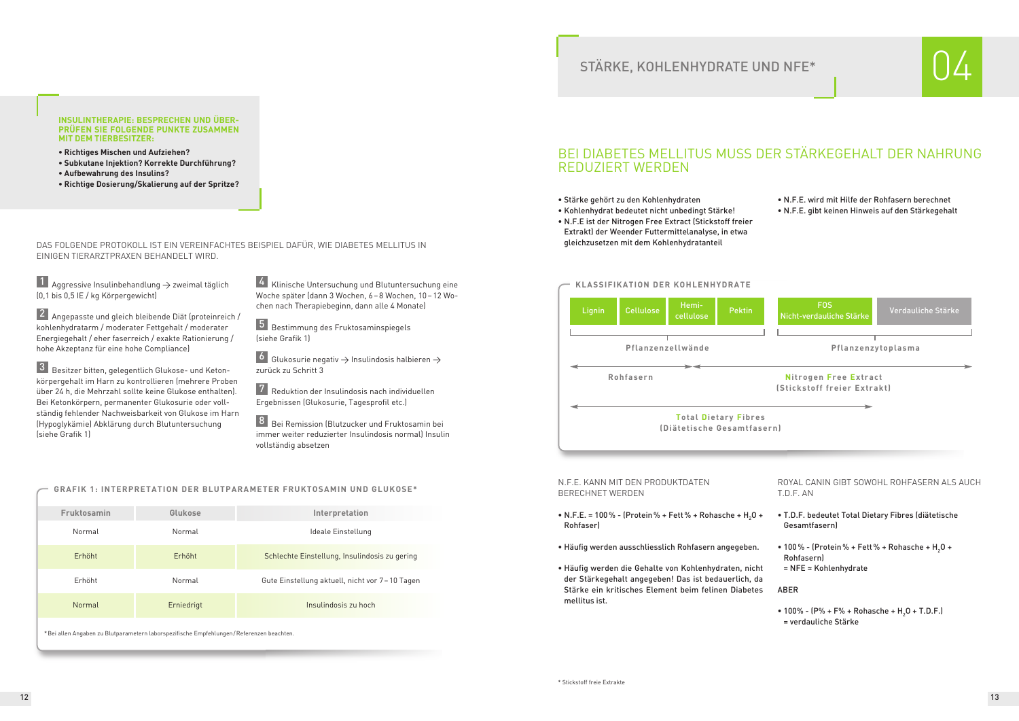#### DAS FOLGENDE PROTOKOLL IST EIN VEREINFACHTES BEISPIEL DAFÜR, WIE DIABETES MELLITUS IN EINIGEN TIERARZTPRAXEN BEHANDELT WIRD.

#### **GRAFIK 1: INTERPRETATION DER BLUTPARAMETER FRUKTOSAMIN UND GLUKOSE\***

## STÄRKE, KOHLENHYDRATE UND NFE\*

#### **INSULINTHERAPIE: BESPRECHEN UND ÜBER-PRÜFEN SIE FOLGENDE PUNKTE ZUSAMMEN MIT DEM TIERBESITZER:**

- **• Richtiges Mischen und Aufziehen?**
- **• Subkutane Injektion? Korrekte Durchführung?**
- **• Aufbewahrung des Insulins?**
- **• Richtige Dosierung/Skalierung auf der Spritze?**

## BEI DIABETES MELLITUS MUSS DER STÄRKEGEHALT DER NAHRUNG REDUZIERT WERDEN

- Stärke gehört zu den Kohlenhydraten
- Kohlenhydrat bedeutet nicht unbedingt Stärke!
- N.F.E ist der Nitrogen Free Extract (Stickstoff freier Extrakt) der Weender Futtermittelanalyse, in etwa gleichzusetzen mit dem Kohlenhydratanteil

- N.F.E. = 100% (Protein% + Fett% + Rohasche + H<sub>2</sub>O + Rohfaser)
- Häufig werden ausschliesslich Rohfasern angegeben.
- Häufig werden die Gehalte von Kohlenhydraten, nicht der Stärkegehalt angegeben! Das ist bedauerlich, da Stärke ein kritisches Element beim felinen Diabetes mellitus ist.
- N.F.E. wird mit Hilfe der Rohfasern berechnet
- N.F.E. gibt keinen Hinweis auf den Stärkegehalt

• 100% -  $(P\% + F\% + Rohasche + H<sub>2</sub>O + T.D.F.)$ = verdauliche Stärke



1 Aggressive Insulinbehandlung  $\rightarrow$  zweimal täglich (0,1 bis 0,5 IE / kg Körpergewicht)

#### N.F.E. KANN MIT DEN PRODUKTDATEN BERECHNET WERDEN

2 Angepasste und gleich bleibende Diät (proteinreich / kohlenhydratarm / moderater Fettgehalt / moderater Energiegehalt / eher faserreich / exakte Rationierung / hohe Akzeptanz für eine hohe Compliance)

3 Besitzer bitten, gelegentlich Glukose- und Ketonkörpergehalt im Harn zu kontrollieren (mehrere Proben über 24 h, die Mehrzahl sollte keine Glukose enthalten). Bei Ketonkörpern, permanenter Glukosurie oder vollständig fehlender Nachweisbarkeit von Glukose im Harn (Hypoglykämie) Abklärung durch Blutuntersuchung (siehe Grafik 1)

4 Klinische Untersuchung und Blutuntersuchung eine Woche später (dann 3 Wochen, 6–8 Wochen, 10–12 Wochen nach Therapiebeginn, dann alle 4 Monate)

6 Glukosurie negativ  $\rightarrow$  Insulindosis halbieren  $\rightarrow$ zurück zu Schritt 3

> ROYAL CANIN GIBT SOWOHL ROHFASERN ALS AUCH T.D.F. AN

7 Reduktion der Insulindosis nach individuellen Ergebnissen (Glukosurie, Tagesprofil etc.)

8 Bei Remission (Blutzucker und Fruktosamin bei immer weiter reduzierter Insulindosis normal) Insulin vollständig absetzen

- T.D.F. bedeutet Total Dietary Fibres (diätetische Gesamtfasern)
- 100% (Protein% + Fett% + Rohasche +  $H_2O$  + Rohfasern) = NFE ≈ Kohlenhydrate

ABER

| Fruktosamin                                                                             | Glukose    | Interpretation                                   |  |
|-----------------------------------------------------------------------------------------|------------|--------------------------------------------------|--|
|                                                                                         |            |                                                  |  |
| Normal                                                                                  | Normal     | Ideale Einstellung                               |  |
| Erhöht                                                                                  | Erhöht     | Schlechte Einstellung, Insulindosis zu gering    |  |
| Erhöht                                                                                  | Normal     | Gute Einstellung aktuell, nicht vor 7 – 10 Tagen |  |
| Normal                                                                                  | Erniedrigt | Insulindosis zu hoch                             |  |
| *Bei allen Angaben zu Blutparametern laborspezifische Empfehlungen/Referenzen beachten. |            |                                                  |  |





Bestimmung des Fruktosaminspiegels 5 (siehe Grafik 1)